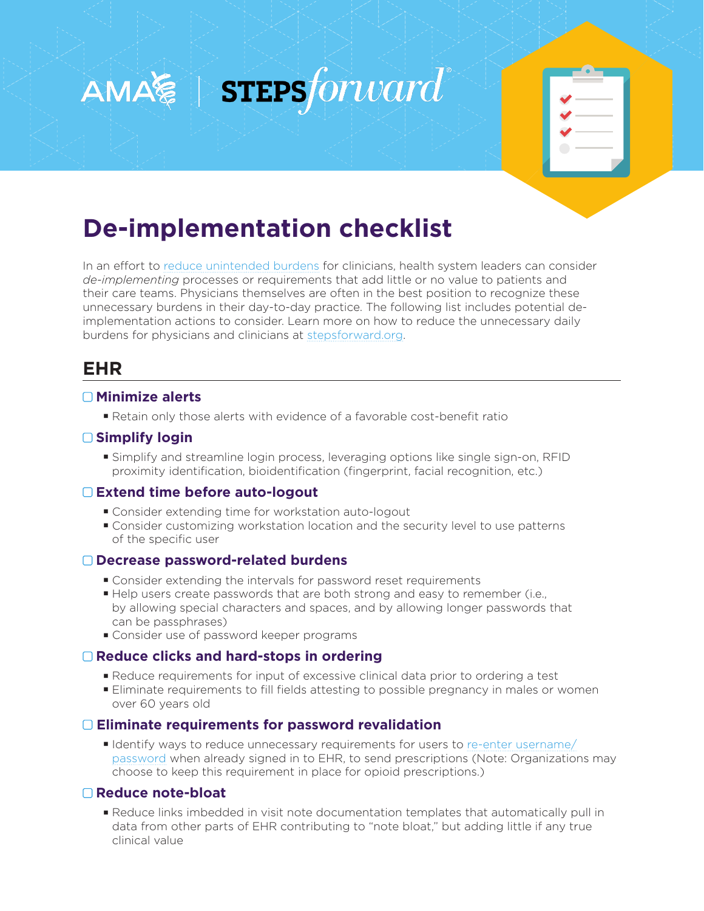



# **De-implementation checklist**

In an effort to [reduce unintended burdens](https://edhub.ama-assn.org/steps-forward/module/2757858) for clinicians, health system leaders can consider *de-implementing* processes or requirements that add little or no value to patients and their care teams. Physicians themselves are often in the best position to recognize these unnecessary burdens in their day-to-day practice. The following list includes potential deimplementation actions to consider. Learn more on how to reduce the unnecessary daily burdens for physicians and clinicians at [stepsforward.org.](https://edhub.ama-assn.org/steps-forward)

# **EHR**

## **Minimize alerts**

Retain only those alerts with evidence of a favorable cost-benefit ratio

# **Simplify login**

 Simplify and streamline login process, leveraging options like single sign-on, RFID proximity identification, bioidentification (fingerprint, facial recognition, etc.)

#### **Extend time before auto-logout**

- Consider extending time for workstation auto-logout
- Consider customizing workstation location and the security level to use patterns of the specific user

# **Decrease password-related burdens**

- Consider extending the intervals for password reset requirements
- Help users create passwords that are both strong and easy to remember (i.e., by allowing special characters and spaces, and by allowing longer passwords that can be passphrases)
- Consider use of password keeper programs

# **Reduce clicks and hard-stops in ordering**

- Reduce requirements for input of excessive clinical data prior to ordering a test
- Eliminate requirements to fill fields attesting to possible pregnancy in males or women over 60 years old

#### **Eliminate requirements for password revalidation**

 Identify ways to reduce unnecessary requirements for users to [re-enter username/](https://edhub.ama-assn.org/steps-forward/module/2768111) [password](https://edhub.ama-assn.org/steps-forward/module/2768111) when already signed in to EHR, to send prescriptions (Note: Organizations may choose to keep this requirement in place for opioid prescriptions.)

#### **Reduce note-bloat**

 Reduce links imbedded in visit note documentation templates that automatically pull in data from other parts of EHR contributing to "note bloat," but adding little if any true clinical value